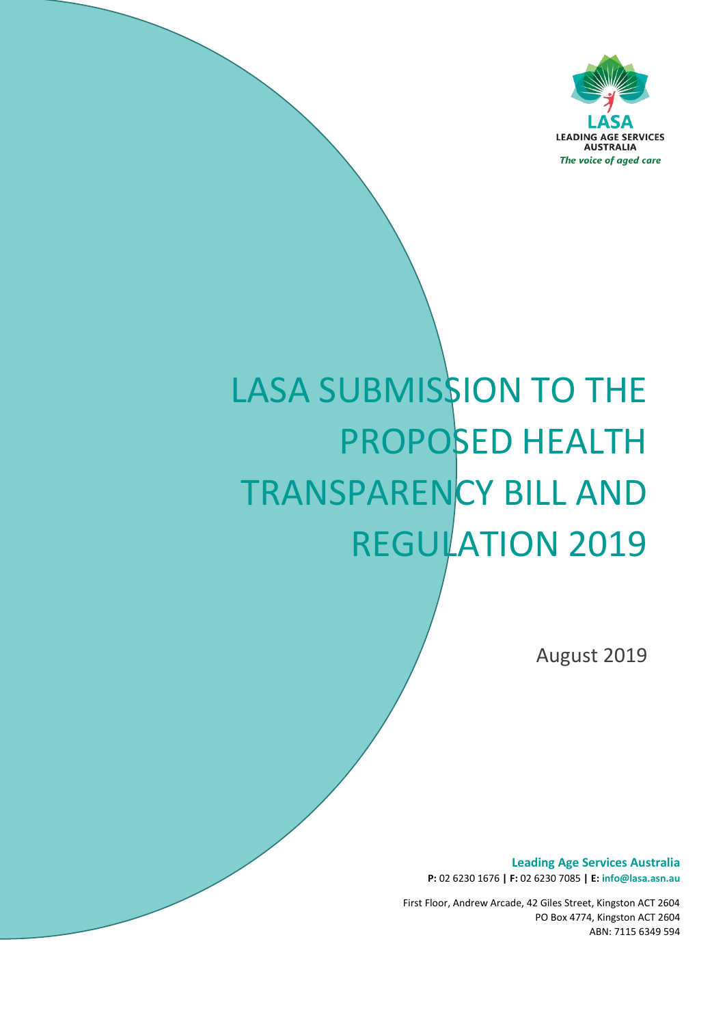

# LASA SUBMISSION TO THE PROPOSED HEALTH TRANSPARENCY BILL AND REGULATION 2019

August 2019

**Leading Age Services Australia P:** 02 6230 1676 **| F:** 02 6230 7085 **| E: info@lasa.asn.au**

First Floor, Andrew Arcade, 42 Giles Street, Kingston ACT 2604 PO Box 4774, Kingston ACT 2604 ABN: 7115 6349 594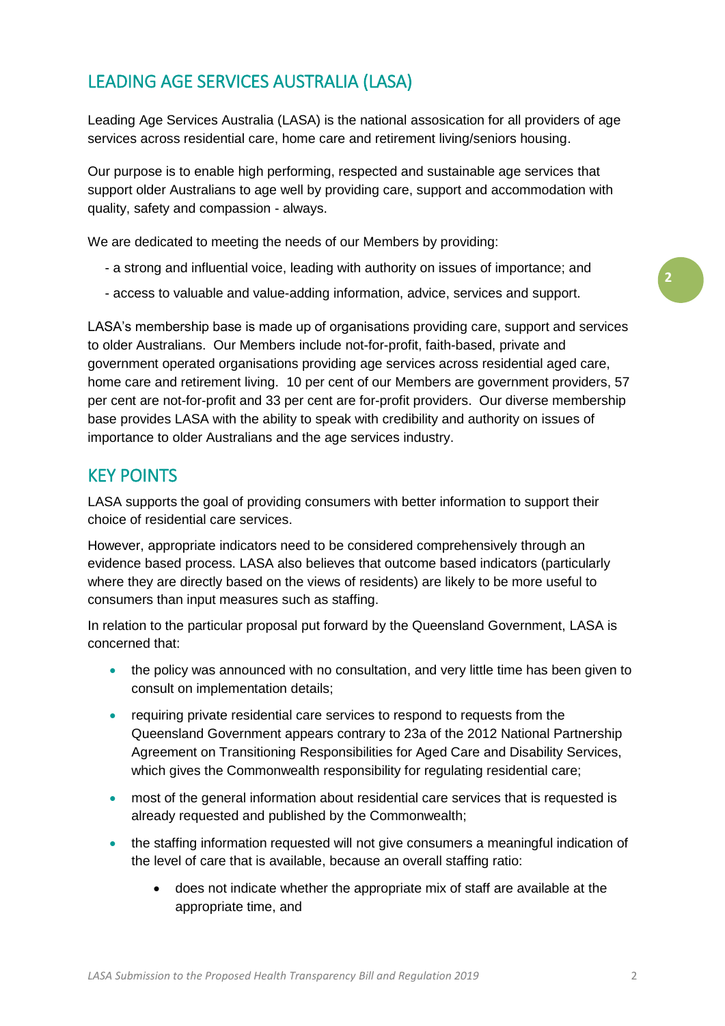# LEADING AGE SERVICES AUSTRALIA (LASA)

Leading Age Services Australia (LASA) is the national assosication for all providers of age services across residential care, home care and retirement living/seniors housing.

Our purpose is to enable high performing, respected and sustainable age services that support older Australians to age well by providing care, support and accommodation with quality, safety and compassion - always.

We are dedicated to meeting the needs of our Members by providing:

- a strong and influential voice, leading with authority on issues of importance; and
- access to valuable and value-adding information, advice, services and support.

LASA's membership base is made up of organisations providing care, support and services to older Australians. Our Members include not-for-profit, faith-based, private and government operated organisations providing age services across residential aged care, home care and retirement living. 10 per cent of our Members are government providers, 57 per cent are not-for-profit and 33 per cent are for-profit providers. Our diverse membership base provides LASA with the ability to speak with credibility and authority on issues of importance to older Australians and the age services industry.

#### KEY POINTS

LASA supports the goal of providing consumers with better information to support their choice of residential care services.

However, appropriate indicators need to be considered comprehensively through an evidence based process. LASA also believes that outcome based indicators (particularly where they are directly based on the views of residents) are likely to be more useful to consumers than input measures such as staffing.

In relation to the particular proposal put forward by the Queensland Government, LASA is concerned that:

- the policy was announced with no consultation, and very little time has been given to consult on implementation details;
- requiring private residential care services to respond to requests from the Queensland Government appears contrary to 23a of the 2012 National Partnership Agreement on Transitioning Responsibilities for Aged Care and Disability Services, which gives the Commonwealth responsibility for regulating residential care;
- most of the general information about residential care services that is requested is already requested and published by the Commonwealth;
- the staffing information requested will not give consumers a meaningful indication of the level of care that is available, because an overall staffing ratio:
	- does not indicate whether the appropriate mix of staff are available at the appropriate time, and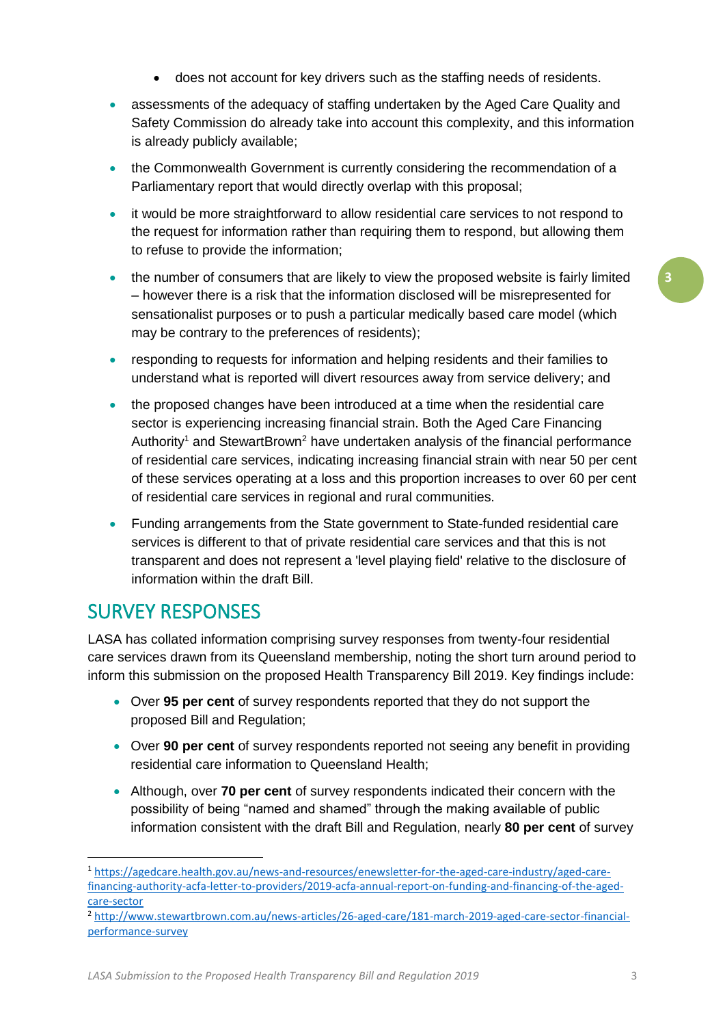- does not account for key drivers such as the staffing needs of residents.
- assessments of the adequacy of staffing undertaken by the Aged Care Quality and Safety Commission do already take into account this complexity, and this information is already publicly available;
- the Commonwealth Government is currently considering the recommendation of a Parliamentary report that would directly overlap with this proposal;
- it would be more straightforward to allow residential care services to not respond to the request for information rather than requiring them to respond, but allowing them to refuse to provide the information;
- the number of consumers that are likely to view the proposed website is fairly limited – however there is a risk that the information disclosed will be misrepresented for sensationalist purposes or to push a particular medically based care model (which may be contrary to the preferences of residents);
- responding to requests for information and helping residents and their families to understand what is reported will divert resources away from service delivery; and
- the proposed changes have been introduced at a time when the residential care sector is experiencing increasing financial strain. Both the Aged Care Financing Authority<sup>1</sup> and StewartBrown<sup>2</sup> have undertaken analysis of the financial performance of residential care services, indicating increasing financial strain with near 50 per cent of these services operating at a loss and this proportion increases to over 60 per cent of residential care services in regional and rural communities.
- Funding arrangements from the State government to State-funded residential care services is different to that of private residential care services and that this is not transparent and does not represent a 'level playing field' relative to the disclosure of information within the draft Bill.

# SURVEY RESPONSES

**.** 

LASA has collated information comprising survey responses from twenty-four residential care services drawn from its Queensland membership, noting the short turn around period to inform this submission on the proposed Health Transparency Bill 2019. Key findings include:

- Over **95 per cent** of survey respondents reported that they do not support the proposed Bill and Regulation;
- Over **90 per cent** of survey respondents reported not seeing any benefit in providing residential care information to Queensland Health;
- Although, over **70 per cent** of survey respondents indicated their concern with the possibility of being "named and shamed" through the making available of public information consistent with the draft Bill and Regulation, nearly **80 per cent** of survey

<sup>1</sup> [https://agedcare.health.gov.au/news-and-resources/enewsletter-for-the-aged-care-industry/aged-care](https://agedcare.health.gov.au/news-and-resources/enewsletter-for-the-aged-care-industry/aged-care-financing-authority-acfa-letter-to-providers/2019-acfa-annual-report-on-funding-and-financing-of-the-aged-care-sector)[financing-authority-acfa-letter-to-providers/2019-acfa-annual-report-on-funding-and-financing-of-the-aged](https://agedcare.health.gov.au/news-and-resources/enewsletter-for-the-aged-care-industry/aged-care-financing-authority-acfa-letter-to-providers/2019-acfa-annual-report-on-funding-and-financing-of-the-aged-care-sector)[care-sector](https://agedcare.health.gov.au/news-and-resources/enewsletter-for-the-aged-care-industry/aged-care-financing-authority-acfa-letter-to-providers/2019-acfa-annual-report-on-funding-and-financing-of-the-aged-care-sector)

<sup>2</sup> [http://www.stewartbrown.com.au/news-articles/26-aged-care/181-march-2019-aged-care-sector-financial](http://www.stewartbrown.com.au/news-articles/26-aged-care/181-march-2019-aged-care-sector-financial-performance-survey)[performance-survey](http://www.stewartbrown.com.au/news-articles/26-aged-care/181-march-2019-aged-care-sector-financial-performance-survey)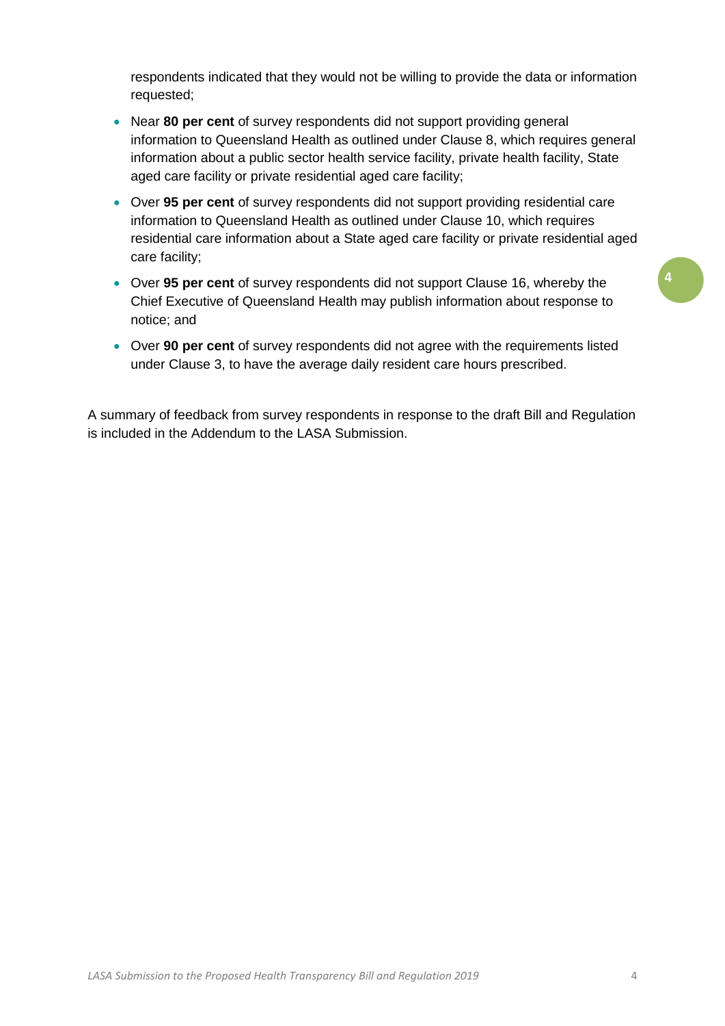respondents indicated that they would not be willing to provide the data or information requested;

- Near **80 per cent** of survey respondents did not support providing general information to Queensland Health as outlined under Clause 8, which requires general information about a public sector health service facility, private health facility, State aged care facility or private residential aged care facility;
- Over **95 per cent** of survey respondents did not support providing residential care information to Queensland Health as outlined under Clause 10, which requires residential care information about a State aged care facility or private residential aged care facility;
- Over **95 per cent** of survey respondents did not support Clause 16, whereby the Chief Executive of Queensland Health may publish information about response to notice; and
- Over **90 per cent** of survey respondents did not agree with the requirements listed under Clause 3, to have the average daily resident care hours prescribed.

A summary of feedback from survey respondents in response to the draft Bill and Regulation is included in the Addendum to the LASA Submission.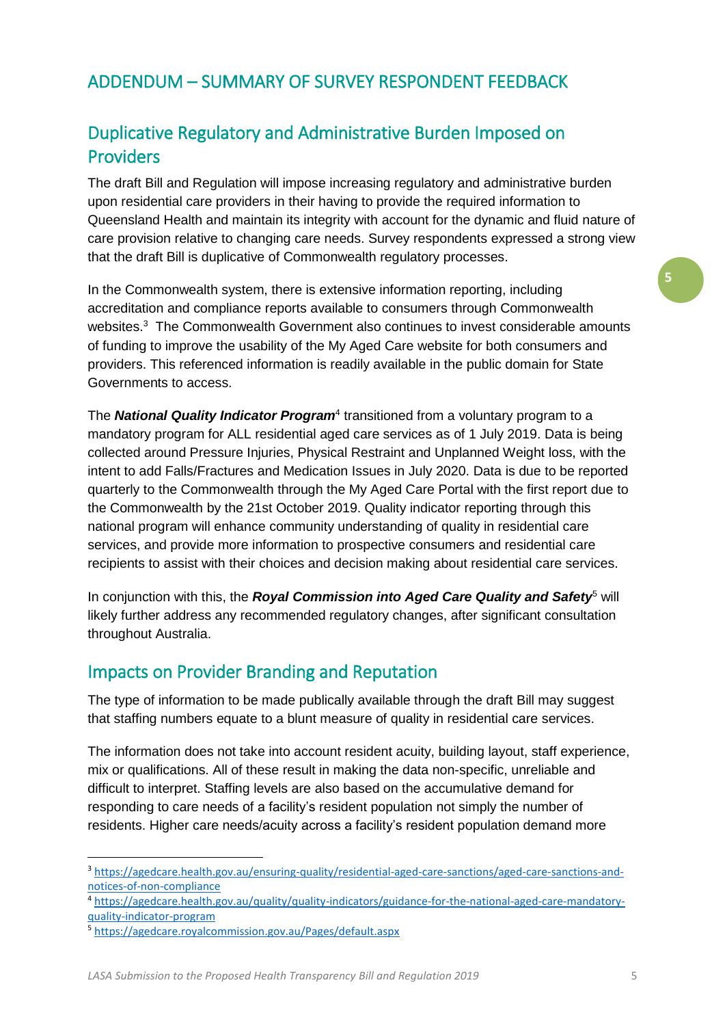## ADDENDUM – SUMMARY OF SURVEY RESPONDENT FEEDBACK

# Duplicative Regulatory and Administrative Burden Imposed on Providers

The draft Bill and Regulation will impose increasing regulatory and administrative burden upon residential care providers in their having to provide the required information to Queensland Health and maintain its integrity with account for the dynamic and fluid nature of care provision relative to changing care needs. Survey respondents expressed a strong view that the draft Bill is duplicative of Commonwealth regulatory processes.

In the Commonwealth system, there is extensive information reporting, including accreditation and compliance reports available to consumers through Commonwealth websites.<sup>3</sup> The Commonwealth Government also continues to invest considerable amounts of funding to improve the usability of the My Aged Care website for both consumers and providers. This referenced information is readily available in the public domain for State Governments to access.

The **National Quality Indicator Program**<sup>4</sup> transitioned from a voluntary program to a mandatory program for ALL residential aged care services as of 1 July 2019. Data is being collected around Pressure Injuries, Physical Restraint and Unplanned Weight loss, with the intent to add Falls/Fractures and Medication Issues in July 2020. Data is due to be reported quarterly to the Commonwealth through the My Aged Care Portal with the first report due to the Commonwealth by the 21st October 2019. Quality indicator reporting through this national program will enhance community understanding of quality in residential care services, and provide more information to prospective consumers and residential care recipients to assist with their choices and decision making about residential care services.

In conjunction with this, the *Royal Commission into Aged Care Quality and Safety<sup>5</sup> will* likely further address any recommended regulatory changes, after significant consultation throughout Australia.

#### Impacts on Provider Branding and Reputation

The type of information to be made publically available through the draft Bill may suggest that staffing numbers equate to a blunt measure of quality in residential care services.

The information does not take into account resident acuity, building layout, staff experience, mix or qualifications. All of these result in making the data non-specific, unreliable and difficult to interpret. Staffing levels are also based on the accumulative demand for responding to care needs of a facility's resident population not simply the number of residents. Higher care needs/acuity across a facility's resident population demand more

**.** 

<sup>3</sup> [https://agedcare.health.gov.au/ensuring-quality/residential-aged-care-sanctions/aged-care-sanctions-and](https://agedcare.health.gov.au/ensuring-quality/residential-aged-care-sanctions/aged-care-sanctions-and-notices-of-non-compliance)[notices-of-non-compliance](https://agedcare.health.gov.au/ensuring-quality/residential-aged-care-sanctions/aged-care-sanctions-and-notices-of-non-compliance)

<sup>4</sup> [https://agedcare.health.gov.au/quality/quality-indicators/guidance-for-the-national-aged-care-mandatory](https://agedcare.health.gov.au/quality/quality-indicators/guidance-for-the-national-aged-care-mandatory-quality-indicator-program)[quality-indicator-program](https://agedcare.health.gov.au/quality/quality-indicators/guidance-for-the-national-aged-care-mandatory-quality-indicator-program)

<sup>5</sup> <https://agedcare.royalcommission.gov.au/Pages/default.aspx>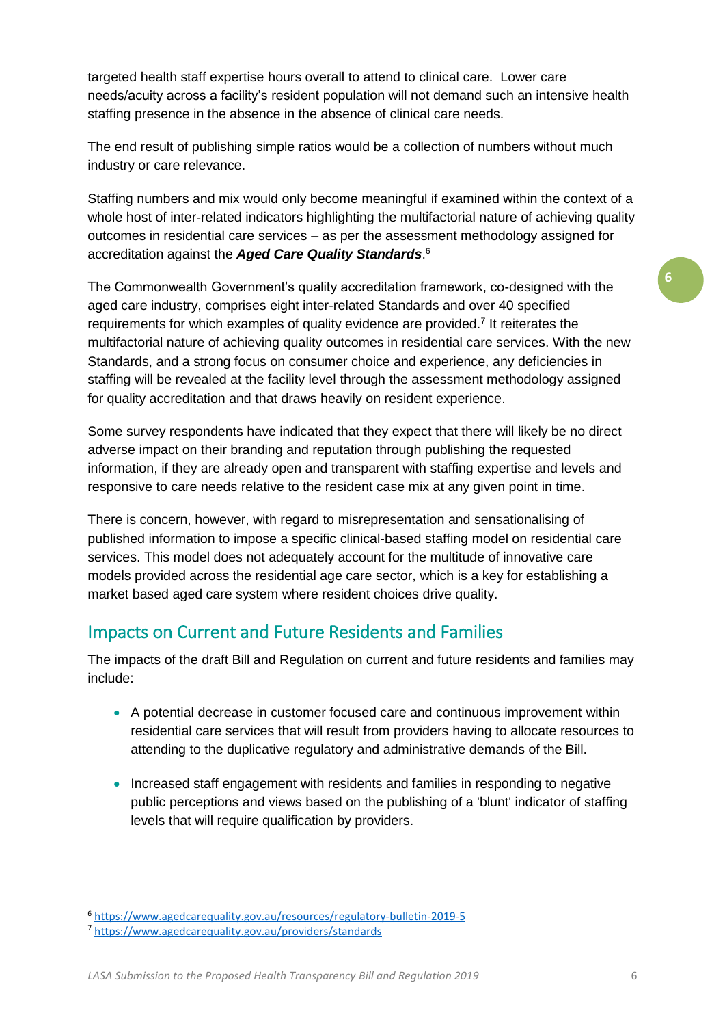targeted health staff expertise hours overall to attend to clinical care. Lower care needs/acuity across a facility's resident population will not demand such an intensive health staffing presence in the absence in the absence of clinical care needs.

The end result of publishing simple ratios would be a collection of numbers without much industry or care relevance.

Staffing numbers and mix would only become meaningful if examined within the context of a whole host of inter-related indicators highlighting the multifactorial nature of achieving quality outcomes in residential care services – as per the assessment methodology assigned for accreditation against the *Aged Care Quality Standards*. 6

The Commonwealth Government's quality accreditation framework, co-designed with the aged care industry, comprises eight inter-related Standards and over 40 specified requirements for which examples of quality evidence are provided.<sup>7</sup> It reiterates the multifactorial nature of achieving quality outcomes in residential care services. With the new Standards, and a strong focus on consumer choice and experience, any deficiencies in staffing will be revealed at the facility level through the assessment methodology assigned for quality accreditation and that draws heavily on resident experience.

Some survey respondents have indicated that they expect that there will likely be no direct adverse impact on their branding and reputation through publishing the requested information, if they are already open and transparent with staffing expertise and levels and responsive to care needs relative to the resident case mix at any given point in time.

There is concern, however, with regard to misrepresentation and sensationalising of published information to impose a specific clinical-based staffing model on residential care services. This model does not adequately account for the multitude of innovative care models provided across the residential age care sector, which is a key for establishing a market based aged care system where resident choices drive quality.

### Impacts on Current and Future Residents and Families

The impacts of the draft Bill and Regulation on current and future residents and families may include:

- A potential decrease in customer focused care and continuous improvement within residential care services that will result from providers having to allocate resources to attending to the duplicative regulatory and administrative demands of the Bill.
- Increased staff engagement with residents and families in responding to negative public perceptions and views based on the publishing of a 'blunt' indicator of staffing levels that will require qualification by providers.

<sup>6</sup> <https://www.agedcarequality.gov.au/resources/regulatory-bulletin-2019-5>

<sup>7</sup> <https://www.agedcarequality.gov.au/providers/standards>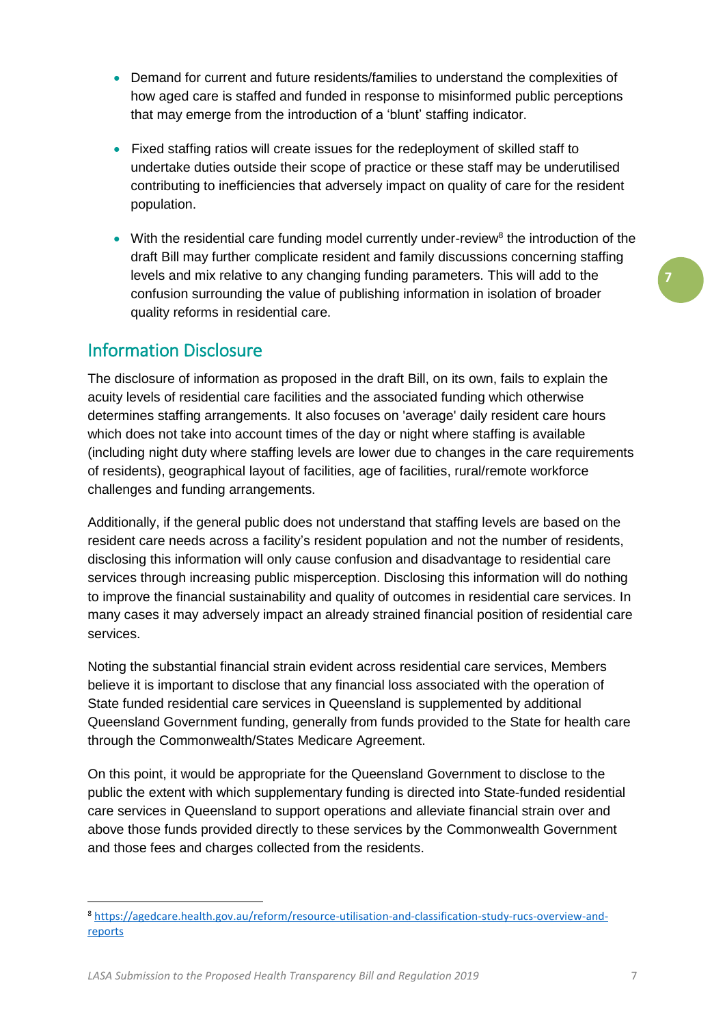- Demand for current and future residents/families to understand the complexities of how aged care is staffed and funded in response to misinformed public perceptions that may emerge from the introduction of a 'blunt' staffing indicator.
- Fixed staffing ratios will create issues for the redeployment of skilled staff to undertake duties outside their scope of practice or these staff may be underutilised contributing to inefficiencies that adversely impact on quality of care for the resident population.
- With the residential care funding model currently under-review<sup>8</sup> the introduction of the draft Bill may further complicate resident and family discussions concerning staffing levels and mix relative to any changing funding parameters. This will add to the confusion surrounding the value of publishing information in isolation of broader quality reforms in residential care.

#### Information Disclosure

1

The disclosure of information as proposed in the draft Bill, on its own, fails to explain the acuity levels of residential care facilities and the associated funding which otherwise determines staffing arrangements. It also focuses on 'average' daily resident care hours which does not take into account times of the day or night where staffing is available (including night duty where staffing levels are lower due to changes in the care requirements of residents), geographical layout of facilities, age of facilities, rural/remote workforce challenges and funding arrangements.

Additionally, if the general public does not understand that staffing levels are based on the resident care needs across a facility's resident population and not the number of residents, disclosing this information will only cause confusion and disadvantage to residential care services through increasing public misperception. Disclosing this information will do nothing to improve the financial sustainability and quality of outcomes in residential care services. In many cases it may adversely impact an already strained financial position of residential care services.

Noting the substantial financial strain evident across residential care services, Members believe it is important to disclose that any financial loss associated with the operation of State funded residential care services in Queensland is supplemented by additional Queensland Government funding, generally from funds provided to the State for health care through the Commonwealth/States Medicare Agreement.

On this point, it would be appropriate for the Queensland Government to disclose to the public the extent with which supplementary funding is directed into State-funded residential care services in Queensland to support operations and alleviate financial strain over and above those funds provided directly to these services by the Commonwealth Government and those fees and charges collected from the residents.

*LASA Submission to the Proposed Health Transparency Bill and Regulation 2019* 7

<sup>8</sup> [https://agedcare.health.gov.au/reform/resource-utilisation-and-classification-study-rucs-overview-and](https://agedcare.health.gov.au/reform/resource-utilisation-and-classification-study-rucs-overview-and-reports)[reports](https://agedcare.health.gov.au/reform/resource-utilisation-and-classification-study-rucs-overview-and-reports)